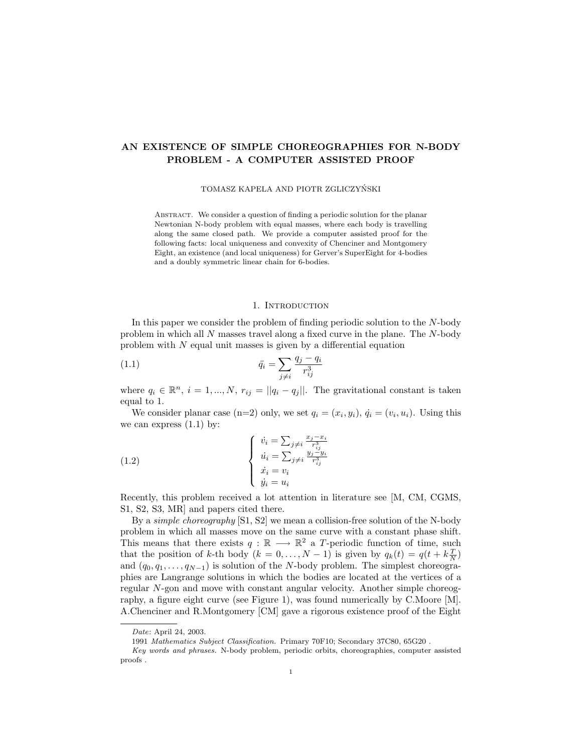# AN EXISTENCE OF SIMPLE CHOREOGRAPHIES FOR N-BODY PROBLEM - A COMPUTER ASSISTED PROOF

### TOMASZ KAPELA AND PIOTR ZGLICZYŃSKI

Abstract. We consider a question of finding a periodic solution for the planar Newtonian N-body problem with equal masses, where each body is travelling along the same closed path. We provide a computer assisted proof for the following facts: local uniqueness and convexity of Chenciner and Montgomery Eight, an existence (and local uniqueness) for Gerver's SuperEight for 4-bodies and a doubly symmetric linear chain for 6-bodies.

### 1. INTRODUCTION

In this paper we consider the problem of finding periodic solution to the N-body problem in which all N masses travel along a fixed curve in the plane. The N-body problem with  $N$  equal unit masses is given by a differential equation

(1.1) 
$$
\ddot{q}_i = \sum_{j \neq i} \frac{q_j - q_i}{r_{ij}^3}
$$

where  $q_i \in \mathbb{R}^n$ ,  $i = 1, ..., N$ ,  $r_{ij} = ||q_i - q_j||$ . The gravitational constant is taken equal to 1.

We consider planar case (n=2) only, we set  $q_i = (x_i, y_i), \dot{q}_i = (v_i, u_i)$ . Using this we can express  $(1.1)$  by:

(1.2) 
$$
\begin{cases}\n\dot{v}_i = \sum_{j \neq i} \frac{x_j - x_i}{r_{ij}^3} \\
\dot{u}_i = \sum_{j \neq i} \frac{y_j - y_i}{r_{ij}^3} \\
\dot{x}_i = v_i \\
\dot{y}_i = u_i\n\end{cases}
$$

Recently, this problem received a lot attention in literature see [M, CM, CGMS, S1, S2, S3, MR] and papers cited there.

By a *simple choreography*  $[S1, S2]$  we mean a collision-free solution of the N-body problem in which all masses move on the same curve with a constant phase shift. This means that there exists  $q : \mathbb{R} \longrightarrow \mathbb{R}^2$  a T-periodic function of time, such that the position of k-th body  $(k = 0, ..., N - 1)$  is given by  $q_k(t) = q(t + k\frac{T}{N})$ and  $(q_0, q_1, \ldots, q_{N-1})$  is solution of the N-body problem. The simplest choreographies are Langrange solutions in which the bodies are located at the vertices of a regular N-gon and move with constant angular velocity. Another simple choreography, a figure eight curve (see Figure 1), was found numerically by C.Moore [M]. A.Chenciner and R.Montgomery [CM] gave a rigorous existence proof of the Eight

Date: April 24, 2003.

<sup>1991</sup> Mathematics Subject Classification. Primary 70F10; Secondary 37C80, 65G20 .

Key words and phrases. N-body problem, periodic orbits, choreographies, computer assisted proofs .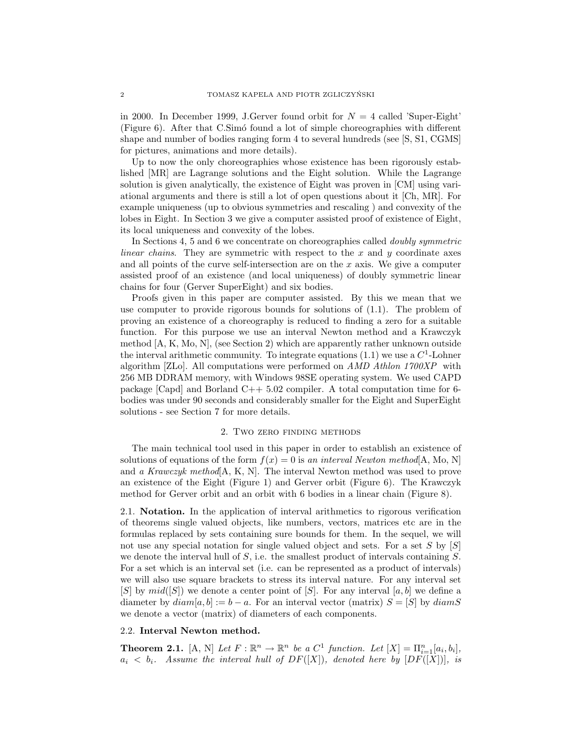in 2000. In December 1999, J.Gerver found orbit for  $N = 4$  called 'Super-Eight' (Figure 6). After that C.Sim´o found a lot of simple choreographies with different shape and number of bodies ranging form 4 to several hundreds (see [S, S1, CGMS] for pictures, animations and more details).

Up to now the only choreographies whose existence has been rigorously established [MR] are Lagrange solutions and the Eight solution. While the Lagrange solution is given analytically, the existence of Eight was proven in [CM] using variational arguments and there is still a lot of open questions about it [Ch, MR]. For example uniqueness (up to obvious symmetries and rescaling ) and convexity of the lobes in Eight. In Section 3 we give a computer assisted proof of existence of Eight, its local uniqueness and convexity of the lobes.

In Sections 4, 5 and 6 we concentrate on choreographies called doubly symmetric linear chains. They are symmetric with respect to the x and  $y$  coordinate axes and all points of the curve self-intersection are on the  $x$  axis. We give a computer assisted proof of an existence (and local uniqueness) of doubly symmetric linear chains for four (Gerver SuperEight) and six bodies.

Proofs given in this paper are computer assisted. By this we mean that we use computer to provide rigorous bounds for solutions of (1.1). The problem of proving an existence of a choreography is reduced to finding a zero for a suitable function. For this purpose we use an interval Newton method and a Krawczyk method [A, K, Mo, N], (see Section 2) which are apparently rather unknown outside the interval arithmetic community. To integrate equations  $(1.1)$  we use a  $C<sup>1</sup>$ -Lohner algorithm [ZLo]. All computations were performed on AMD Athlon 1700XP with 256 MB DDRAM memory, with Windows 98SE operating system. We used CAPD package [Capd] and Borland C++ 5.02 compiler. A total computation time for 6 bodies was under 90 seconds and considerably smaller for the Eight and SuperEight solutions - see Section 7 for more details.

### 2. Two zero finding methods

The main technical tool used in this paper in order to establish an existence of solutions of equations of the form  $f(x) = 0$  is an interval Newton method[A, Mo, N] and a Krawczyk method  $[A, K, N]$ . The interval Newton method was used to prove an existence of the Eight (Figure 1) and Gerver orbit (Figure 6). The Krawczyk method for Gerver orbit and an orbit with 6 bodies in a linear chain (Figure 8).

2.1. Notation. In the application of interval arithmetics to rigorous verification of theorems single valued objects, like numbers, vectors, matrices etc are in the formulas replaced by sets containing sure bounds for them. In the sequel, we will not use any special notation for single valued object and sets. For a set S by  $[S]$ we denote the interval hull of  $S$ , i.e. the smallest product of intervals containing  $S$ . For a set which is an interval set (i.e. can be represented as a product of intervals) we will also use square brackets to stress its interval nature. For any interval set  $[S]$  by  $mid([S])$  we denote a center point of  $[S]$ . For any interval  $[a, b]$  we define a diameter by  $diam[a, b] := b - a$ . For an interval vector (matrix)  $S = [S]$  by  $diamS$ we denote a vector (matrix) of diameters of each components.

## 2.2. Interval Newton method.

**Theorem 2.1.** [A, N] Let  $F : \mathbb{R}^n \to \mathbb{R}^n$  be a  $C^1$  function. Let  $[X] = \prod_{i=1}^n [a_i, b_i]$ ,  $a_i < b_i$ . Assume the interval hull of  $DF([X])$ , denoted here by  $[DF([X])]$ , is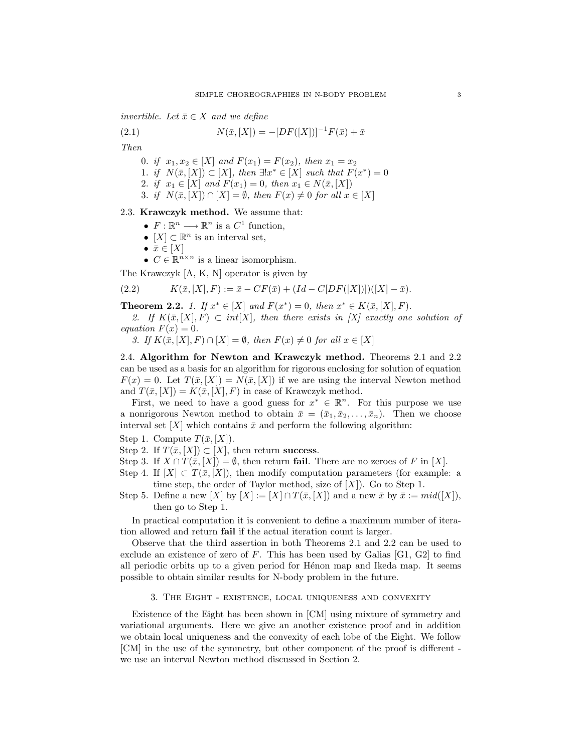invertible. Let  $\bar{x} \in X$  and we define

(2.1) 
$$
N(\bar{x}, [X]) = -[DF([X])]^{-1} F(\bar{x}) + \bar{x}
$$

Then

0. if  $x_1, x_2 \in [X]$  and  $F(x_1) = F(x_2)$ , then  $x_1 = x_2$ 1. if  $N(\bar{x}, [X]) \subset [X]$ , then  $\exists! x^* \in [X]$  such that  $F(x^*) = 0$ 2. if  $x_1 \in [X]$  and  $F(x_1) = 0$ , then  $x_1 \in N(\bar{x}, [X])$ 3. if  $N(\bar{x}, [X]) \cap [X] = \emptyset$ , then  $F(x) \neq 0$  for all  $x \in [X]$ 

### 2.3. Krawczyk method. We assume that:

- $F: \mathbb{R}^n \longrightarrow \mathbb{R}^n$  is a  $C^1$  function,
- $[X] \subset \mathbb{R}^n$  is an interval set,
- $\bar{x} \in [X]$
- $C \in \mathbb{R}^{n \times n}$  is a linear isomorphism.

The Krawczyk [A, K, N] operator is given by

(2.2) 
$$
K(\bar{x}, [X], F) := \bar{x} - CF(\bar{x}) + (Id - C[DF([X])])([X] - \bar{x}).
$$

**Theorem 2.2.** 1. If  $x^* \in [X]$  and  $F(x^*) = 0$ , then  $x^* \in K(\bar{x}, [X], F)$ .

2. If  $K(\bar{x}, [X], F) \subset int[X]$ , then there exists in  $[X]$  exactly one solution of equation  $F(x) = 0$ .

3. If  $K(\bar{x}, [X], F) \cap [X] = \emptyset$ , then  $F(x) \neq 0$  for all  $x \in [X]$ 

2.4. Algorithm for Newton and Krawczyk method. Theorems 2.1 and 2.2 can be used as a basis for an algorithm for rigorous enclosing for solution of equation  $F(x) = 0$ . Let  $T(\bar{x}, [X]) = N(\bar{x}, [X])$  if we are using the interval Newton method and  $T(\bar{x}, [X]) = K(\bar{x}, [X], F)$  in case of Krawczyk method.

First, we need to have a good guess for  $x^* \in \mathbb{R}^n$ . For this purpose we use a nonrigorous Newton method to obtain  $\bar{x} = (\bar{x}_1, \bar{x}_2, \dots, \bar{x}_n)$ . Then we choose interval set  $[X]$  which contains  $\bar{x}$  and perform the following algorithm:

Step 1. Compute 
$$
T(\bar{x}, [X])
$$
.

- Step 2. If  $T(\bar{x}, [X]) \subset [X]$ , then return success.
- Step 3. If  $X \cap T(\bar{x}, [X]) = \emptyset$ , then return fail. There are no zeroes of F in [X].
- Step 4. If  $[X] \subset T(\bar{x}, [X])$ , then modify computation parameters (for example: a time step, the order of Taylor method, size of  $[X]$ ). Go to Step 1.
- Step 5. Define a new  $[X]$  by  $[X] := [X] \cap T(\bar{x}, [X])$  and a new  $\bar{x}$  by  $\bar{x} := mid([X]),$ then go to Step 1.

In practical computation it is convenient to define a maximum number of iteration allowed and return fail if the actual iteration count is larger.

Observe that the third assertion in both Theorems 2.1 and 2.2 can be used to exclude an existence of zero of  $F$ . This has been used by Galias [G1, G2] to find all periodic orbits up to a given period for Henon map and Ikeda map. It seems possible to obtain similar results for N-body problem in the future.

# 3. The Eight - existence, local uniqueness and convexity

Existence of the Eight has been shown in [CM] using mixture of symmetry and variational arguments. Here we give an another existence proof and in addition we obtain local uniqueness and the convexity of each lobe of the Eight. We follow [CM] in the use of the symmetry, but other component of the proof is different we use an interval Newton method discussed in Section 2.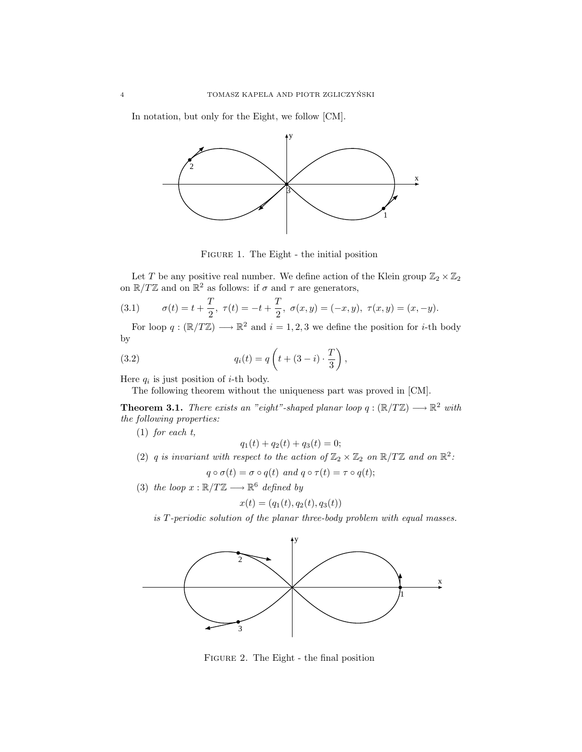In notation, but only for the Eight, we follow [CM].



Figure 1. The Eight - the initial position

Let  $T$  be any positive real number. We define action of the Klein group  $\mathbb{Z}_2\times\mathbb{Z}_2$ on  $\mathbb{R}/T\mathbb{Z}$  and on  $\mathbb{R}^2$  as follows: if  $\sigma$  and  $\tau$  are generators,

(3.1) 
$$
\sigma(t) = t + \frac{T}{2}, \ \tau(t) = -t + \frac{T}{2}, \ \sigma(x, y) = (-x, y), \ \tau(x, y) = (x, -y).
$$

For loop  $q: (\mathbb{R}/T\mathbb{Z}) \longrightarrow \mathbb{R}^2$  and  $i = 1, 2, 3$  we define the position for *i*-th body by  $\overline{a}$  $\mathbf{r}$ 

(3.2) 
$$
q_i(t) = q\left(t + (3 - i) \cdot \frac{T}{3}\right),
$$

Here  $q_i$  is just position of *i*-th body.

The following theorem without the uniqueness part was proved in [CM].

**Theorem 3.1.** There exists an "eight"-shaped planar loop  $q : (\mathbb{R}/T\mathbb{Z}) \longrightarrow \mathbb{R}^2$  with the following properties:

(1) for each t,

$$
q_1(t) + q_2(t) + q_3(t) = 0;
$$

- (2) q is invariant with respect to the action of  $\mathbb{Z}_2 \times \mathbb{Z}_2$  on  $\mathbb{R}/T\mathbb{Z}$  and on  $\mathbb{R}^2$ .  $q \circ \sigma(t) = \sigma \circ q(t)$  and  $q \circ \tau(t) = \tau \circ q(t);$
- (3) the loop  $x : \mathbb{R}/T\mathbb{Z} \longrightarrow \mathbb{R}^6$  defined by

$$
x(t) = (q_1(t), q_2(t), q_3(t))
$$

is T-periodic solution of the planar three-body problem with equal masses.



Figure 2. The Eight - the final position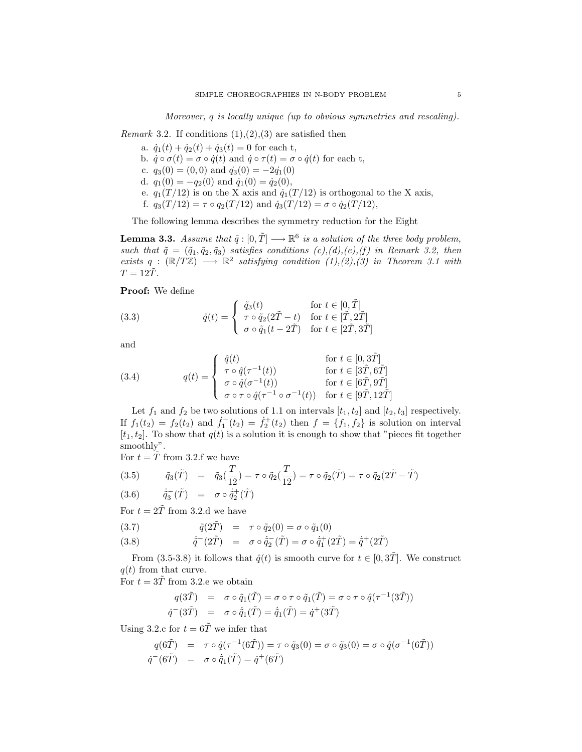Moreover, q is locally unique (up to obvious symmetries and rescaling).

*Remark* 3.2. If conditions  $(1), (2), (3)$  are satisfied then

a.  $\dot{q}_1(t) + \dot{q}_2(t) + \dot{q}_3(t) = 0$  for each t, b.  $\dot{q} \circ \sigma(t) = \sigma \circ \dot{q}(t)$  and  $\dot{q} \circ \tau(t) = \sigma \circ \dot{q}(t)$  for each t, c.  $q_3(0) = (0, 0)$  and  $\dot{q}_3(0) = -2\dot{q}_1(0)$ d.  $q_1(0) = -q_2(0)$  and  $\dot{q}_1(0) = \dot{q}_2(0)$ , e.  $q_1(T/12)$  is on the X axis and  $\dot{q}_1(T/12)$  is orthogonal to the X axis, f.  $q_3(T/12) = \tau \circ q_2(T/12)$  and  $\dot{q}_3(T/12) = \sigma \circ \dot{q}_2(T/12)$ ,

The following lemma describes the symmetry reduction for the Eight

**Lemma 3.3.** Assume that  $\tilde{q}: [0, \tilde{T}] \longrightarrow \mathbb{R}^6$  is a solution of the three body problem, such that  $\tilde{q} = (\tilde{q}_1, \tilde{q}_2, \tilde{q}_3)$  satisfies conditions  $(c), (d), (e), (f)$  in Remark 3.2, then exists  $q : (\mathbb{R}/T\mathbb{Z}) \longrightarrow \mathbb{R}^2$  satisfying condition  $(1),(2),(3)$  in Theorem 3.1 with  $T = 12T$ .

Proof: We define

(3.3) 
$$
\hat{q}(t) = \begin{cases} \tilde{q}_3(t) & \text{for } t \in [0, \tilde{T}] \\ \tau \circ \tilde{q}_2(2\tilde{T} - t) & \text{for } t \in [\tilde{T}, 2\tilde{T}] \\ \sigma \circ \tilde{q}_1(t - 2\tilde{T}) & \text{for } t \in [2\tilde{T}, 3\tilde{T}] \end{cases}
$$

and

(3.4) 
$$
q(t) = \begin{cases} \n\hat{q}(t) & \text{for } t \in [0, 3\tilde{T}] \\ \n\tau \circ \hat{q}(\tau^{-1}(t)) & \text{for } t \in [3\tilde{T}, 6\tilde{T}] \\ \n\sigma \circ \hat{q}(\sigma^{-1}(t)) & \text{for } t \in [6\tilde{T}, 9\tilde{T}] \\ \n\sigma \circ \tau \circ \hat{q}(\tau^{-1} \circ \sigma^{-1}(t)) & \text{for } t \in [9\tilde{T}, 12\tilde{T}] \n\end{cases}
$$

Let  $f_1$  and  $f_2$  be two solutions of 1.1 on intervals  $[t_1, t_2]$  and  $[t_2, t_3]$  respectively. If  $f_1(t_2) = f_2(t_2)$  and  $f_1^-(t_2) = f_2^+(t_2)$  then  $f = \{f_1, f_2\}$  is solution on interval  $[t_1, t_2]$ . To show that  $q(t)$  is a solution it is enough to show that "pieces fit together smoothly".

For  $t = \tilde{T}$  from 3.2.f we have

(3.5) 
$$
\tilde{q}_3(\tilde{T}) = \tilde{q}_3(\frac{T}{12}) = \tau \circ \tilde{q}_2(\frac{T}{12}) = \tau \circ \tilde{q}_2(\tilde{T}) = \tau \circ \tilde{q}_2(2\tilde{T} - \tilde{T})
$$

$$
(3.6) \qquad \dot{\tilde{q}}_3^-(\tilde{T}) \quad = \quad \sigma \circ \dot{\tilde{q}}_2^+(\tilde{T})
$$

For  $t = 2\tilde{T}$  from 3.2.d we have

(3.7) 
$$
\tilde{q}(2\tilde{T}) = \tau \circ \tilde{q}_2(0) = \sigma \circ \tilde{q}_1(0)
$$

(3.8)  $\dot{\tilde{q}}^-(2\tilde{T}) = \sigma \circ \dot{\tilde{q}}_2^-(\tilde{T}) = \sigma \circ \dot{\tilde{q}}_1^+(2\tilde{T}) = \dot{\tilde{q}}^+(2\tilde{T})$ 

From (3.5-3.8) it follows that  $\hat{q}(t)$  is smooth curve for  $t \in [0, 3\tilde{T}]$ . We construct  $q(t)$  from that curve.

For  $t = 3\tilde{T}$  from 3.2.e we obtain

$$
q(3\tilde{T}) = \sigma \circ \tilde{q}_1(\tilde{T}) = \sigma \circ \tau \circ \tilde{q}_1(\tilde{T}) = \sigma \circ \tau \circ \hat{q}(\tau^{-1}(3\tilde{T}))
$$
  

$$
\dot{q}^{-}(3\tilde{T}) = \sigma \circ \dot{\tilde{q}}_1(\tilde{T}) = \dot{\tilde{q}}_1(\tilde{T}) = \dot{q}^{+}(3\tilde{T})
$$

Using 3.2.c for  $t = 6\tilde{T}$  we infer that

$$
q(6\tilde{T}) = \tau \circ \hat{q}(\tau^{-1}(6\tilde{T})) = \tau \circ \tilde{q}_3(0) = \sigma \circ \tilde{q}_3(0) = \sigma \circ \hat{q}(\sigma^{-1}(6\tilde{T}))
$$
  

$$
\dot{q}^-(6\tilde{T}) = \sigma \circ \dot{\tilde{q}}_1(\tilde{T}) = \dot{q}^+(6\tilde{T})
$$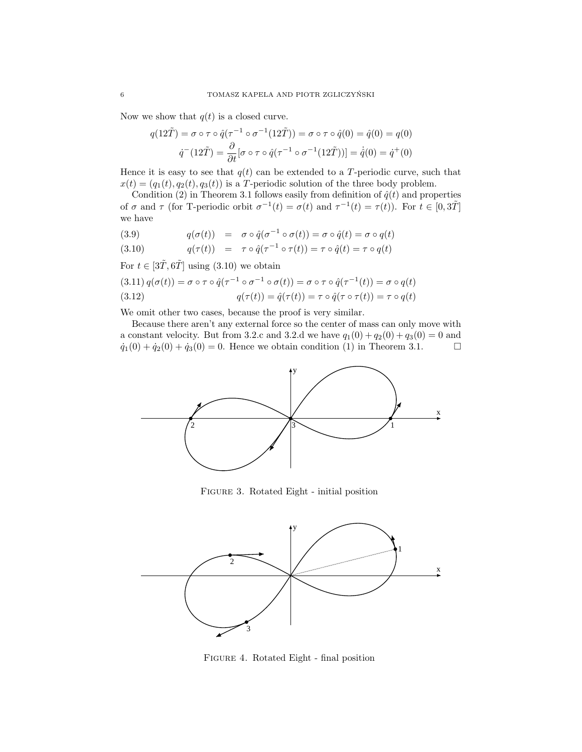Now we show that  $q(t)$  is a closed curve.

$$
q(12\tilde{T}) = \sigma \circ \tau \circ \hat{q}(\tau^{-1} \circ \sigma^{-1}(12\tilde{T})) = \sigma \circ \tau \circ \hat{q}(0) = \hat{q}(0) = q(0)
$$

$$
\dot{q}^-(12\tilde{T}) = \frac{\partial}{\partial t} [\sigma \circ \tau \circ \hat{q}(\tau^{-1} \circ \sigma^{-1}(12\tilde{T}))] = \dot{\hat{q}}(0) = \dot{q}^+(0)
$$

Hence it is easy to see that  $q(t)$  can be extended to a T-periodic curve, such that  $x(t) = (q_1(t), q_2(t), q_3(t))$  is a T-periodic solution of the three body problem.

Condition (2) in Theorem 3.1 follows easily from definition of  $\hat{q}(t)$  and properties of  $\sigma$  and  $\tau$  (for T-periodic orbit  $\sigma^{-1}(t) = \sigma(t)$  and  $\tau^{-1}(t) = \tau(t)$ ). For  $t \in [0, 3\tilde{T}]$ we have

(3.9) 
$$
q(\sigma(t)) = \sigma \circ \hat{q}(\sigma^{-1} \circ \sigma(t)) = \sigma \circ \hat{q}(t) = \sigma \circ q(t)
$$

(3.10) 
$$
q(\tau(t)) = \tau \circ \hat{q}(\tau^{-1} \circ \tau(t)) = \tau \circ \hat{q}(t) = \tau \circ q(t)
$$

For  $t \in [3\tilde{T}, 6\tilde{T}]$  using (3.10) we obtain

(3.11) 
$$
q(\sigma(t)) = \sigma \circ \tau \circ \hat{q}(\tau^{-1} \circ \sigma^{-1} \circ \sigma(t)) = \sigma \circ \tau \circ \hat{q}(\tau^{-1}(t)) = \sigma \circ q(t)
$$
  
(3.12) 
$$
q(\tau(t)) = \hat{q}(\tau(t)) = \tau \circ \hat{q}(\tau \circ \tau(t)) = \tau \circ q(t)
$$

We omit other two cases, because the proof is very similar.

Because there aren't any external force so the center of mass can only move with a constant velocity. But from 3.2.c and 3.2.d we have  $q_1(0) + q_2(0) + q_3(0) = 0$  and  $\dot{q}_1(0) + \dot{q}_2(0) + \dot{q}_3(0) = 0$ . Hence we obtain condition (1) in Theorem 3.1.  $\Box$ 



Figure 3. Rotated Eight - initial position



Figure 4. Rotated Eight - final position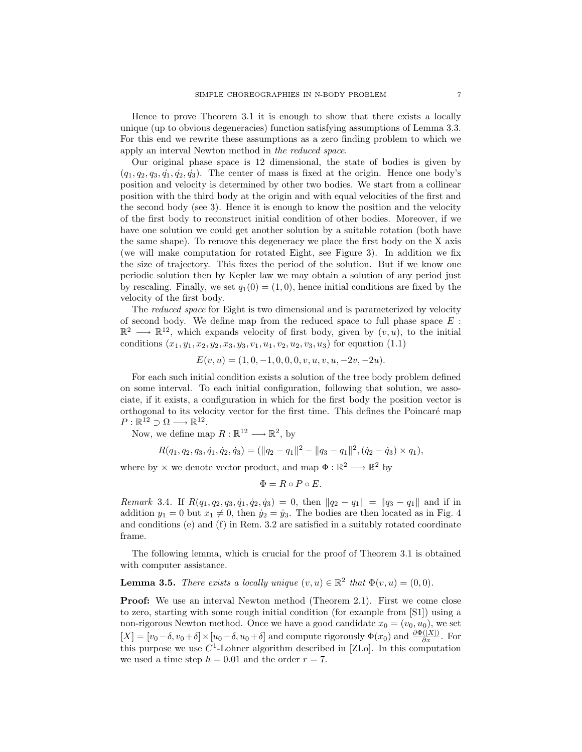Hence to prove Theorem 3.1 it is enough to show that there exists a locally unique (up to obvious degeneracies) function satisfying assumptions of Lemma 3.3. For this end we rewrite these assumptions as a zero finding problem to which we apply an interval Newton method in the reduced space.

Our original phase space is 12 dimensional, the state of bodies is given by  $(q_1, q_2, q_3, \dot{q}_1, \dot{q}_2, \dot{q}_3)$ . The center of mass is fixed at the origin. Hence one body's position and velocity is determined by other two bodies. We start from a collinear position with the third body at the origin and with equal velocities of the first and the second body (see 3). Hence it is enough to know the position and the velocity of the first body to reconstruct initial condition of other bodies. Moreover, if we have one solution we could get another solution by a suitable rotation (both have the same shape). To remove this degeneracy we place the first body on the X axis (we will make computation for rotated Eight, see Figure 3). In addition we fix the size of trajectory. This fixes the period of the solution. But if we know one periodic solution then by Kepler law we may obtain a solution of any period just by rescaling. Finally, we set  $q_1(0) = (1, 0)$ , hence initial conditions are fixed by the velocity of the first body.

The reduced space for Eight is two dimensional and is parameterized by velocity of second body. We define map from the reduced space to full phase space  $E$ :  $\mathbb{R}^2 \longrightarrow \mathbb{R}^{12}$ , which expands velocity of first body, given by  $(v, u)$ , to the initial conditions  $(x_1, y_1, x_2, y_2, x_3, y_3, v_1, u_1, v_2, u_2, v_3, u_3)$  for equation (1.1)

$$
E(v, u) = (1, 0, -1, 0, 0, 0, v, u, v, u, -2v, -2u).
$$

For each such initial condition exists a solution of the tree body problem defined on some interval. To each initial configuration, following that solution, we associate, if it exists, a configuration in which for the first body the position vector is orthogonal to its velocity vector for the first time. This defines the Poincaré map  $P: \mathbb{R}^{12} \supset \Omega \longrightarrow \mathbb{R}^{12}.$ 

Now, we define map  $R : \mathbb{R}^{12} \longrightarrow \mathbb{R}^2$ , by

 $R(q_1, q_2, q_3, \dot{q}_1, \dot{q}_2, \dot{q}_3) = (\|q_2 - q_1\|^2 - \|q_3 - q_1\|^2, (\dot{q}_2 - \dot{q}_3) \times q_1),$ 

where by  $\times$  we denote vector product, and map  $\Phi : \mathbb{R}^2 \longrightarrow \mathbb{R}^2$  by

$$
\Phi = R \circ P \circ E.
$$

Remark 3.4. If  $R(q_1, q_2, q_3, \dot{q}_1, \dot{q}_2, \dot{q}_3) = 0$ , then  $||q_2 - q_1|| = ||q_3 - q_1||$  and if in addition  $y_1 = 0$  but  $x_1 \neq 0$ , then  $\dot{y}_2 = \dot{y}_3$ . The bodies are then located as in Fig. 4 and conditions (e) and (f) in Rem. 3.2 are satisfied in a suitably rotated coordinate frame.

The following lemma, which is crucial for the proof of Theorem 3.1 is obtained with computer assistance.

**Lemma 3.5.** There exists a locally unique  $(v, u) \in \mathbb{R}^2$  that  $\Phi(v, u) = (0, 0)$ .

Proof: We use an interval Newton method (Theorem 2.1). First we come close to zero, starting with some rough initial condition (for example from [S1]) using a non-rigorous Newton method. Once we have a good candidate  $x_0 = (v_0, u_0)$ , we set  $[X] = [v_0 - \delta, v_0 + \delta] \times [u_0 - \delta, u_0 + \delta]$  and compute rigorously  $\Phi(x_0)$  and  $\frac{\partial \Phi([X])}{\partial x}$ . For this purpose we use  $C^1$ -Lohner algorithm described in [ZLo]. In this computation we used a time step  $h = 0.01$  and the order  $r = 7$ .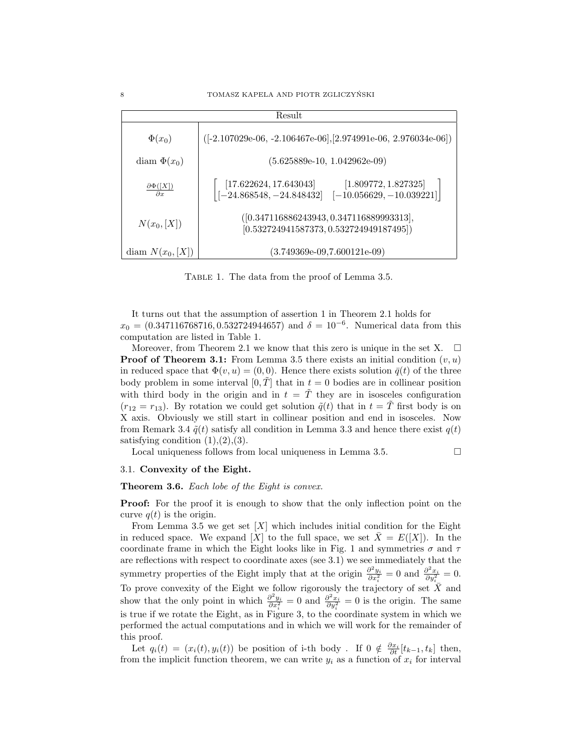| Result                                  |                                                                                                                                      |  |
|-----------------------------------------|--------------------------------------------------------------------------------------------------------------------------------------|--|
| $\Phi(x_0)$                             | $([-2.107029e-06, -2.106467e-06], [2.974991e-06, 2.976034e-06])$                                                                     |  |
| diam $\Phi(x_0)$                        | $(5.625889e-10, 1.042962e-09)$                                                                                                       |  |
| $\frac{\partial \Phi([X])}{\partial x}$ | $\begin{bmatrix} [17.622624, 17.643043] & [1.809772, 1.827325] \\ [-24.868548, -24.848432] & [-10.056629, -10.039221] \end{bmatrix}$ |  |
| $N(x_0, [X])$                           | $([0.347116886243943, 0.347116889993313],$<br>$[0.532724941587373, 0.532724949187495]$                                               |  |
| diam $N(x_0, [X])$                      | $(3.749369e-09,7.600121e-09)$                                                                                                        |  |

Table 1. The data from the proof of Lemma 3.5.

It turns out that the assumption of assertion 1 in Theorem 2.1 holds for  $x_0 = (0.347116768716, 0.532724944657)$  and  $\delta = 10^{-6}$ . Numerical data from this computation are listed in Table 1.

Moreover, from Theorem 2.1 we know that this zero is unique in the set X.  $\Box$ **Proof of Theorem 3.1:** From Lemma 3.5 there exists an initial condition  $(v, u)$ in reduced space that  $\Phi(v, u) = (0, 0)$ . Hence there exists solution  $\bar{q}(t)$  of the three body problem in some interval  $[0, \overline{T}]$  that in  $t = 0$  bodies are in collinear position with third body in the origin and in  $t = \tilde{T}$  they are in isosceles configuration  $(r_{12} = r_{13})$ . By rotation we could get solution  $\tilde{q}(t)$  that in  $t = \tilde{T}$  first body is on X axis. Obviously we still start in collinear position and end in isosceles. Now from Remark 3.4  $\tilde{q}(t)$  satisfy all condition in Lemma 3.3 and hence there exist  $q(t)$ satisfying condition  $(1),(2),(3)$ .

Local uniqueness follows from local uniqueness in Lemma 3.5.  $\Box$ 

### 3.1. Convexity of the Eight.

Theorem 3.6. Each lobe of the Eight is convex.

**Proof:** For the proof it is enough to show that the only inflection point on the curve  $q(t)$  is the origin.

From Lemma 3.5 we get set  $[X]$  which includes initial condition for the Eight in reduced space. We expand [X] to the full space, we set  $\bar{X} = E([X])$ . In the coordinate frame in which the Eight looks like in Fig. 1 and symmetries  $\sigma$  and  $\tau$ are reflections with respect to coordinate axes (see 3.1) we see immediately that the symmetry properties of the Eight imply that at the origin  $\frac{\partial^2 y_i}{\partial x_i^2} = 0$  and  $\frac{\partial^2 x_i}{\partial y_i^2} = 0$ . To prove convexity of the Eight we follow rigorously the trajectory of set  $\bar{X}$  and show that the only point in which  $\frac{\partial^2 y_i}{\partial x_i^2} = 0$  and  $\frac{\partial^2 x_i}{\partial y_i^2} = 0$  is the origin. The same is true if we rotate the Eight, as in Figure 3, to the coordinate system in which we performed the actual computations and in which we will work for the remainder of this proof.

Let  $q_i(t) = (x_i(t), y_i(t))$  be position of i-th body. If  $0 \notin \frac{\partial x_i}{\partial t}[t_{k-1}, t_k]$  then, from the implicit function theorem, we can write  $y_i$  as a function of  $x_i$  for interval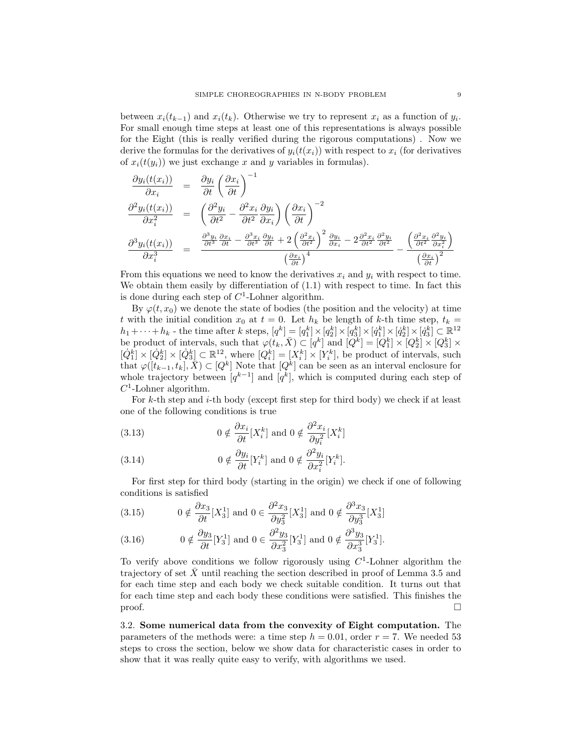between  $x_i(t_{k-1})$  and  $x_i(t_k)$ . Otherwise we try to represent  $x_i$  as a function of  $y_i$ . For small enough time steps at least one of this representations is always possible for the Eight (this is really verified during the rigorous computations) . Now we derive the formulas for the derivatives of  $y_i(t(x_i))$  with respect to  $x_i$  (for derivatives of  $x_i(t(y_i))$  we just exchange x and y variables in formulas).

$$
\frac{\partial y_i(t(x_i))}{\partial x_i} = \frac{\partial y_i}{\partial t} \left(\frac{\partial x_i}{\partial t}\right)^{-1}
$$
\n
$$
\frac{\partial^2 y_i(t(x_i))}{\partial x_i^2} = \left(\frac{\partial^2 y_i}{\partial t^2} - \frac{\partial^2 x_i}{\partial t^2} \frac{\partial y_i}{\partial x_i}\right) \left(\frac{\partial x_i}{\partial t}\right)^{-2}
$$
\n
$$
\frac{\partial^3 y_i(t(x_i))}{\partial x_i^3} = \frac{\frac{\partial^3 y_i}{\partial t^3} \frac{\partial x_i}{\partial t} - \frac{\partial^3 x_i}{\partial t^3} \frac{\partial y_i}{\partial t} + 2\left(\frac{\partial^2 x_i}{\partial t^2}\right)^2 \frac{\partial y_i}{\partial x_i} - 2\frac{\partial^2 x_i}{\partial t^2} \frac{\partial^2 y_i}{\partial t^2}}{\left(\frac{\partial x_i}{\partial t}\right)^2} - \frac{\left(\frac{\partial^2 x_i}{\partial t^2} \frac{\partial^2 y_i}{\partial x_i^2}\right)}{\left(\frac{\partial x_i}{\partial t}\right)^2}
$$

From this equations we need to know the derivatives  $x_i$  and  $y_i$  with respect to time. We obtain them easily by differentiation of  $(1.1)$  with respect to time. In fact this is done during each step of  $C^1$ -Lohner algorithm.

By  $\varphi(t, x_0)$  we denote the state of bodies (the position and the velocity) at time t with the initial condition  $x_0$  at  $t = 0$ . Let  $h_k$  be length of k-th time step,  $t_k =$  $h_1+\cdots+h_k$  - the time after k steps,  $[q^k]=[q_1^k]\times[q_2^k]\times[q_3^k]\times[q_1^k]\times[q_2^k]\times[q_3^k]\subset\mathbb{R}^{12}$ be product of intervals, such that  $\varphi(t_k, \bar{X}) \subset [q^k]$  and  $[Q^k] = [Q_1^k] \times [Q_2^k] \times [Q_3^k] \times$  $[Q_1^k] \times [Q_2^k] \times [Q_3^k] \subset \mathbb{R}^{12}$ , where  $[Q_i^k] = [X_i^k] \times [Y_i^k]$ , be product of intervals, such that  $\varphi([t_{k-1}, t_k], \bar{X}) \subset [Q^k]$  Note that  $[Q^k]$  can be seen as an interval enclosure for whole trajectory between  $[q^{k-1}]$  and  $[q^k]$ , which is computed during each step of  $C^1$ -Lohner algorithm.

For  $k$ -th step and  $i$ -th body (except first step for third body) we check if at least one of the following conditions is true

(3.13) 
$$
0 \notin \frac{\partial x_i}{\partial t}[X_i^k] \text{ and } 0 \notin \frac{\partial^2 x_i}{\partial y_i^2}[X_i^k]
$$

(3.14) 
$$
0 \notin \frac{\partial y_i}{\partial t}[Y_i^k] \text{ and } 0 \notin \frac{\partial^2 y_i}{\partial x_i^2}[Y_i^k].
$$

For first step for third body (starting in the origin) we check if one of following conditions is satisfied

(3.15) 
$$
0 \notin \frac{\partial x_3}{\partial t}[X_3^1] \text{ and } 0 \in \frac{\partial^2 x_3}{\partial y_3^2}[X_3^1] \text{ and } 0 \notin \frac{\partial^3 x_3}{\partial y_3^3}[X_3^1]
$$

(3.16) 
$$
0 \notin \frac{\partial y_3}{\partial t}[Y_3^1]
$$
 and  $0 \in \frac{\partial^2 y_3}{\partial x_3^2}[Y_3^1]$  and  $0 \notin \frac{\partial^3 y_3}{\partial x_3^3}[Y_3^1]$ .

To verify above conditions we follow rigorously using  $C<sup>1</sup>$ -Lohner algorithm the trajectory of set  $\bar{X}$  until reaching the section described in proof of Lemma 3.5 and for each time step and each body we check suitable condition. It turns out that for each time step and each body these conditions were satisfied. This finishes the proof.  $\Box$ 

3.2. Some numerical data from the convexity of Eight computation. The parameters of the methods were: a time step  $h = 0.01$ , order  $r = 7$ . We needed 53 steps to cross the section, below we show data for characteristic cases in order to show that it was really quite easy to verify, with algorithms we used.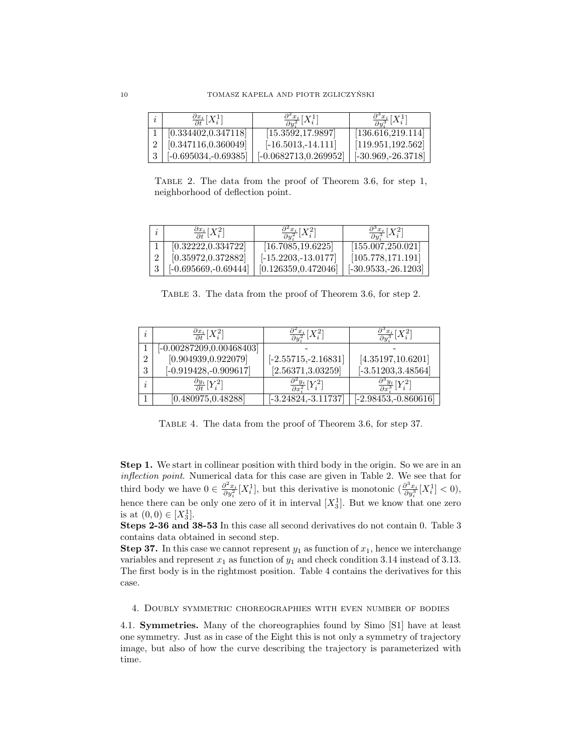| $\frac{\partial x_i}{\partial t}[X_i^1]$ | $\frac{\partial^2 x_i}{\partial y_i^2}[X_i^1]$ | $\frac{\partial^3 x_i}{\partial y^3}[X_i^1]$ |
|------------------------------------------|------------------------------------------------|----------------------------------------------|
| [0.334402, 0.347118]                     | [15.3592, 17.9897]                             | [136.616, 219.114]                           |
| [0.347116, 0.360049]                     | $[-16.5013,-14.111]$                           | [119.951, 192.562]                           |
| $[-0.695034,-0.69385]$                   | $[-0.0682713, 0.269952]$                       | $[-30.969, -26.3718]$                        |

Table 2. The data from the proof of Theorem 3.6, for step 1, neighborhood of deflection point.

|   | $\frac{\partial x_i}{\partial t} [X_i^2]$ | $\frac{\partial^2 x_i}{\partial u^2}[X_i^2]$ | $\frac{\partial^3 x_i}{\partial u^3}[X_i^2]$ |
|---|-------------------------------------------|----------------------------------------------|----------------------------------------------|
|   | [0.32222, 0.334722]                       | [16.7085, 19.6225]                           | [155.007, 250.021]                           |
|   | [0.35972, 0.372882]                       | $[-15.2203, -13.0177]$                       | [105.778, 171.191]                           |
| 3 | $[-0.695669, -0.69444]$                   | [0.126359, 0.472046]                         | $[-30.9533, -26.1203]$                       |

Table 3. The data from the proof of Theorem 3.6, for step 2.

| $\frac{\partial x_i}{\partial t} [X_i^2]$ | $\frac{\partial^2 x_i}{\partial y_i^2}[X_i^2]$ | $\frac{\partial^{\circ} x_{i}}{\partial y_{i}^{3}}[X_{i}^{2}]$ |
|-------------------------------------------|------------------------------------------------|----------------------------------------------------------------|
| $[-0.00287209, 0.00468403]$               |                                                |                                                                |
| [0.904939, 0.922079]                      | $[-2.55715, -2.16831]$                         | [4.35197, 10.6201]                                             |
| $[-0.919428, -0.909617]$                  | [2.56371, 3.03259]                             | $[-3.51203, 3.48564]$                                          |
| $\frac{\partial y_i}{\partial t} [Y_i^2]$ | $\frac{\partial^2 y_i}{\partial x^2} [Y_i^2]$  | $\frac{\partial^3 y_i}{\partial x^3}[Y_i^2]$                   |
| [0.480975, 0.48288]                       | $[-3.24824, -3.11737]$                         | $[-2.98453, -0.860616]$                                        |

Table 4. The data from the proof of Theorem 3.6, for step 37.

Step 1. We start in collinear position with third body in the origin. So we are in an inflection point. Numerical data for this case are given in Table 2. We see that for third body we have  $0 \in \frac{\partial^2 x_i}{\partial y_i^2}[X_i^1]$ , but this derivative is monotonic  $\left(\frac{\partial^3 x_i}{\partial y_i^3}[X_i^1] < 0\right)$ , hence there can be only one zero of it in interval  $[X_3^1]$ . But we know that one zero is at  $(0,0) \in [X_3^1]$ .

Steps 2-36 and 38-53 In this case all second derivatives do not contain 0. Table 3 contains data obtained in second step.

**Step 37.** In this case we cannot represent  $y_1$  as function of  $x_1$ , hence we interchange variables and represent  $x_1$  as function of  $y_1$  and check condition 3.14 instead of 3.13. The first body is in the rightmost position. Table 4 contains the derivatives for this case.

### 4. Doubly symmetric choreographies with even number of bodies

4.1. Symmetries. Many of the choreographies found by Simo [S1] have at least one symmetry. Just as in case of the Eight this is not only a symmetry of trajectory image, but also of how the curve describing the trajectory is parameterized with time.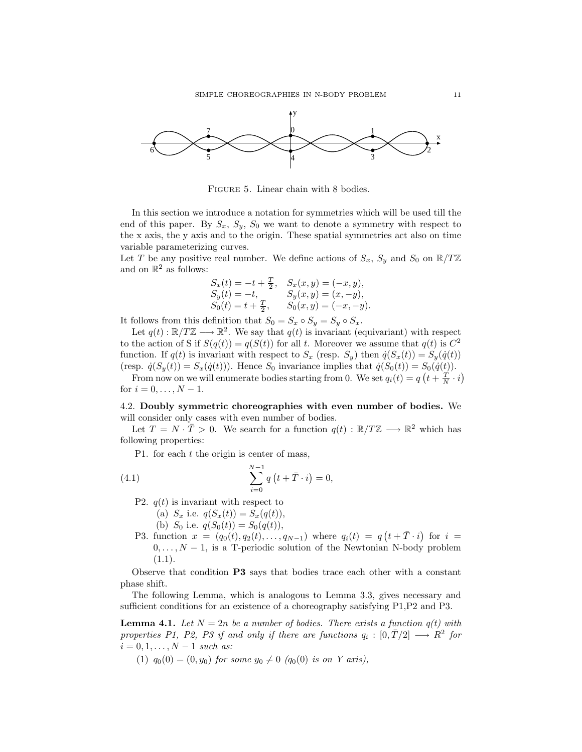

FIGURE 5. Linear chain with 8 bodies.

In this section we introduce a notation for symmetries which will be used till the end of this paper. By  $S_x$ ,  $S_y$ ,  $S_0$  we want to denote a symmetry with respect to the x axis, the y axis and to the origin. These spatial symmetries act also on time variable parameterizing curves.

Let T be any positive real number. We define actions of  $S_x$ ,  $S_y$  and  $S_0$  on  $\mathbb{R}/T\mathbb{Z}$ and on  $\mathbb{R}^2$  as follows:

$$
S_x(t) = -t + \frac{T}{2}, \quad S_x(x, y) = (-x, y),
$$
  
\n
$$
S_y(t) = -t, \quad S_y(x, y) = (x, -y),
$$
  
\n
$$
S_0(t) = t + \frac{T}{2}, \quad S_0(x, y) = (-x, -y).
$$

It follows from this definition that  $S_0 = S_x \circ S_y = S_y \circ S_x$ .

Let  $q(t): \mathbb{R}/T\mathbb{Z} \longrightarrow \mathbb{R}^2$ . We say that  $q(t)$  is invariant (equivariant) with respect to the action of S if  $S(q(t)) = q(S(t))$  for all t. Moreover we assume that  $q(t)$  is  $C^2$ function. If  $q(t)$  is invariant with respect to  $S_x$  (resp.  $S_y$ ) then  $\dot{q}(S_x(t)) = S_y(\dot{q}(t))$ (resp.  $\dot{q}(S_y(t)) = S_x(\dot{q}(t))$ ). Hence  $S_0$  invariance implies that  $\dot{q}(S_0(t)) = S_0(\dot{q}(t))$ .

From now on we will enumerate bodies starting from 0. We set  $q_i(t) = q\left(t + \frac{T}{N} \cdot i\right)$ ¢ for  $i = 0, ..., N - 1$ .

4.2. Doubly symmetric choreographies with even number of bodies. We will consider only cases with even number of bodies.

Let  $T = N \cdot \overline{T} > 0$ . We search for a function  $q(t) : \mathbb{R}/T\mathbb{Z} \longrightarrow \mathbb{R}^2$  which has following properties:

P1. for each  $t$  the origin is center of mass,

(4.1) 
$$
\sum_{i=0}^{N-1} q(t+\bar{T}\cdot i) = 0,
$$

P2.  $q(t)$  is invariant with respect to

- (a)  $S_x$  i.e.  $q(S_x(t)) = S_x(q(t)),$
- (b)  $S_0$  i.e.  $q(S_0(t)) = S_0(q(t)),$
- P3. function  $x = (q_0(t), q_2(t), \ldots, q_{N-1})$  where  $q_i(t) = q_i$  $(t+\bar{T}\cdot i)$ for  $i =$  $0, \ldots, N-1$ , is a T-periodic solution of the Newtonian N-body problem  $(1.1).$

Observe that condition P3 says that bodies trace each other with a constant phase shift.

The following Lemma, which is analogous to Lemma 3.3, gives necessary and sufficient conditions for an existence of a choreography satisfying P1,P2 and P3.

**Lemma 4.1.** Let  $N = 2n$  be a number of bodies. There exists a function  $q(t)$  with properties P1, P2, P3 if and only if there are functions  $q_i : [0, \overline{T}/2] \longrightarrow \mathbb{R}^2$  for  $i = 0, 1, \ldots, N - 1$  such as:

(1)  $q_0(0) = (0, y_0)$  for some  $y_0 \neq 0$   $(q_0(0)$  is on Y axis),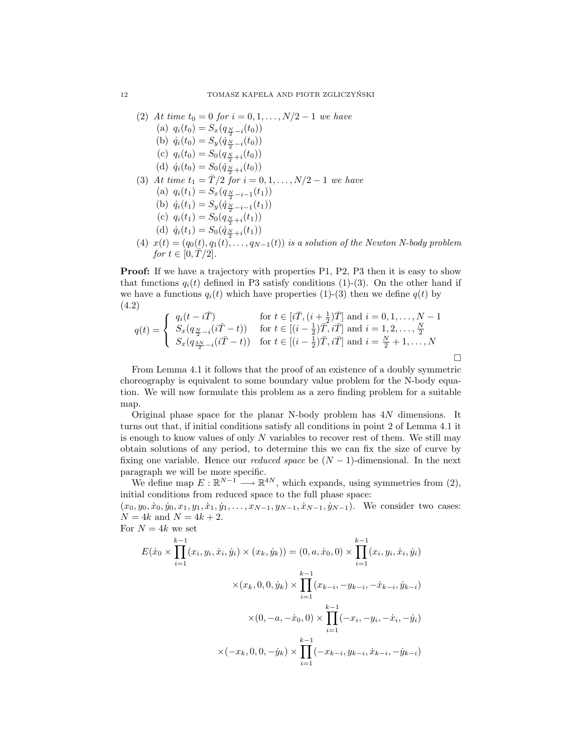(2) At time 
$$
t_0 = 0
$$
 for  $i = 0, 1, ..., N/2 - 1$  we have  
\n(a)  $q_i(t_0) = S_x(q_{\frac{N}{2}-i}(t_0))$   
\n(b)  $\dot{q}_i(t_0) = S_y(\dot{q}_{\frac{N}{2}-i}(t_0))$   
\n(c)  $q_i(t_0) = S_0(q_{\frac{N}{2}+i}(t_0))$   
\n(d)  $\dot{q}_i(t_0) = S_0(\dot{q}_{\frac{N}{2}+i}(t_0))$   
\n(3) At time  $t_1 = \overline{T}/2$  for  $i = 0, 1, ..., N/2 - 1$  we have  
\n(a)  $q_i(t_1) = S_x(q_{\frac{N}{2}-i-1}(t_1))$   
\n(b)  $\dot{q}_i(t_1) = S_y(\dot{q}_{\frac{N}{2}-i-1}(t_1))$   
\n(c)  $q_i(t_1) = S_0(q_{\frac{N}{2}+i}(t_1))$   
\n(d)  $\dot{q}_i(t_1) = S_0(\dot{q}_{\frac{N}{2}+i}(t_1))$   
\n(4)  $x(t) = (q_0(t), q_1(t), ..., q_{N-1}(t))$  is a solution of the Newton N-body problem  
\nfor  $t \in [0, \overline{T}/2]$ .

Proof: If we have a trajectory with properties P1, P2, P3 then it is easy to show that functions  $q_i(t)$  defined in P3 satisfy conditions (1)-(3). On the other hand if we have a functions  $q_i(t)$  which have properties (1)-(3) then we define  $q(t)$  by (4.2)

$$
q(t) = \begin{cases} q_i(t - i\bar{T}) & \text{for } t \in [i\bar{T}, (i + \frac{1}{2})\bar{T}] \text{ and } i = 0, 1, \dots, N - 1 \\ S_x(q_{\frac{N}{2} - i}(i\bar{T} - t)) & \text{for } t \in [(i - \frac{1}{2})\bar{T}, i\bar{T}] \text{ and } i = 1, 2, \dots, \frac{N}{2} \\ S_x(q_{\frac{3N}{2} - i}(i\bar{T} - t)) & \text{for } t \in [(i - \frac{1}{2})\bar{T}, i\bar{T}] \text{ and } i = \frac{N}{2} + 1, \dots, N \end{cases}
$$

From Lemma 4.1 it follows that the proof of an existence of a doubly symmetric choreography is equivalent to some boundary value problem for the N-body equation. We will now formulate this problem as a zero finding problem for a suitable map.

¤

Original phase space for the planar N-body problem has 4N dimensions. It turns out that, if initial conditions satisfy all conditions in point 2 of Lemma 4.1 it is enough to know values of only  $N$  variables to recover rest of them. We still may obtain solutions of any period, to determine this we can fix the size of curve by fixing one variable. Hence our *reduced space* be  $(N-1)$ -dimensional. In the next paragraph we will be more specific.

We define map  $E: \mathbb{R}^{N-1} \longrightarrow \mathbb{R}^{4N}$ , which expands, using symmetries from (2), initial conditions from reduced space to the full phase space:

 $(x_0, y_0, \dot{x}_0, \dot{y}_0, x_1, y_1, \dot{x}_1, \dot{y}_1, \ldots, x_{N-1}, y_{N-1}, \dot{x}_{N-1}, \dot{y}_{N-1})$ . We consider two cases:  $N = 4k$  and  $N = 4k + 2$ . For  $N = 4k$  we set

$$
E(\dot{x}_0 \times \prod_{i=1}^{k-1} (x_i, y_i, \dot{x}_i, \dot{y}_i) \times (x_k, \dot{y}_k)) = (0, a, \dot{x}_0, 0) \times \prod_{i=1}^{k-1} (x_i, y_i, \dot{x}_i, \dot{y}_i)
$$

$$
\times (x_k, 0, 0, \dot{y}_k) \times \prod_{i=1}^{k-1} (x_{k-i}, -y_{k-i}, -\dot{x}_{k-i}, \dot{y}_{k-i})
$$

$$
\times (0, -a, -\dot{x}_0, 0) \times \prod_{i=1}^{k-1} (-x_i, -y_i, -\dot{x}_i, -\dot{y}_i)
$$

$$
\times (-x_k, 0, 0, -\dot{y}_k) \times \prod_{i=1}^{k-1} (-x_{k-i}, y_{k-i}, \dot{x}_{k-i}, -\dot{y}_{k-i})
$$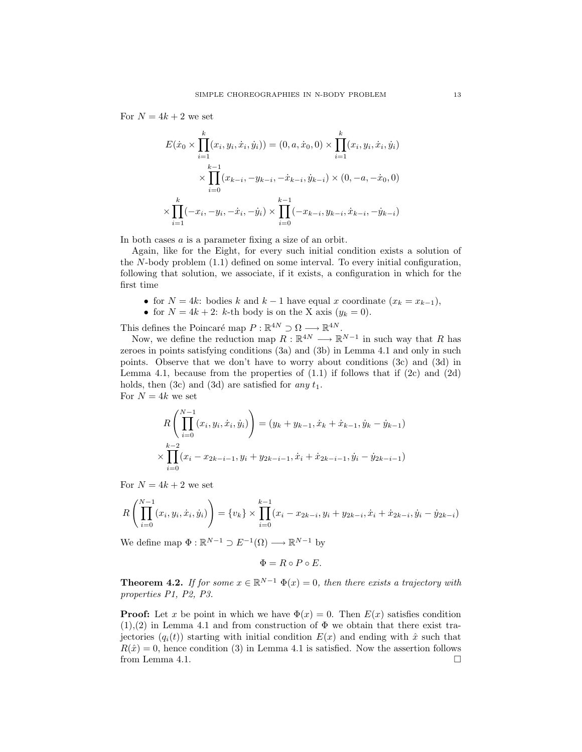For  $N = 4k + 2$  we set

$$
E(\dot{x}_0 \times \prod_{i=1}^k (x_i, y_i, \dot{x}_i, \dot{y}_i)) = (0, a, \dot{x}_0, 0) \times \prod_{i=1}^k (x_i, y_i, \dot{x}_i, \dot{y}_i)
$$

$$
\times \prod_{i=0}^{k-1} (x_{k-i}, -y_{k-i}, -\dot{x}_{k-i}, \dot{y}_{k-i}) \times (0, -a, -\dot{x}_0, 0)
$$

$$
\times \prod_{i=1}^k (-x_i, -y_i, -\dot{x}_i, -\dot{y}_i) \times \prod_{i=0}^{k-1} (-x_{k-i}, y_{k-i}, \dot{x}_{k-i}, -\dot{y}_{k-i})
$$

In both cases a is a parameter fixing a size of an orbit.

Again, like for the Eight, for every such initial condition exists a solution of the  $N$ -body problem  $(1.1)$  defined on some interval. To every initial configuration, following that solution, we associate, if it exists, a configuration in which for the first time

- for  $N = 4k$ : bodies k and  $k 1$  have equal x coordinate  $(x_k = x_{k-1}),$
- for  $N = 4k + 2$ : k-th body is on the X axis  $(y_k = 0)$ .

This defines the Poincaré map  $P : \mathbb{R}^{4N} \supset \Omega \longrightarrow \mathbb{R}^{4N}$ .

Now, we define the reduction map  $R: \mathbb{R}^{4N} \longrightarrow \mathbb{R}^{N-1}$  in such way that R has zeroes in points satisfying conditions (3a) and (3b) in Lemma 4.1 and only in such points. Observe that we don't have to worry about conditions (3c) and (3d) in Lemma 4.1, because from the properties of  $(1.1)$  if follows that if  $(2c)$  and  $(2d)$ holds, then  $(3c)$  and  $(3d)$  are satisfied for any  $t_1$ . For  $N = 4k$  we set

$$
R\left(\prod_{i=0}^{N-1} (x_i, y_i, \dot{x}_i, \dot{y}_i)\right) = (y_k + y_{k-1}, \dot{x}_k + \dot{x}_{k-1}, \dot{y}_k - \dot{y}_{k-1})
$$
  

$$
\times \prod_{i=0}^{k-2} (x_i - x_{2k-i-1}, y_i + y_{2k-i-1}, \dot{x}_i + \dot{x}_{2k-i-1}, \dot{y}_i - \dot{y}_{2k-i-1})
$$

For  $N = 4k + 2$  we set

$$
R\left(\prod_{i=0}^{N-1} (x_i, y_i, \dot{x}_i, \dot{y}_i)\right) = \{v_k\} \times \prod_{i=0}^{k-1} (x_i - x_{2k-i}, y_i + y_{2k-i}, \dot{x}_i + \dot{x}_{2k-i}, \dot{y}_i - \dot{y}_{2k-i})
$$

We define map  $\Phi : \mathbb{R}^{N-1} \supset E^{-1}(\Omega) \longrightarrow \mathbb{R}^{N-1}$  by

$$
\Phi = R \circ P \circ E.
$$

**Theorem 4.2.** If for some  $x \in \mathbb{R}^{N-1}$   $\Phi(x) = 0$ , then there exists a trajectory with properties P1, P2, P3.

**Proof:** Let x be point in which we have  $\Phi(x) = 0$ . Then  $E(x)$  satisfies condition  $(1),(2)$  in Lemma 4.1 and from construction of  $\Phi$  we obtain that there exist trajectories  $(q_i(t))$  starting with initial condition  $E(x)$  and ending with  $\hat{x}$  such that  $R(\hat{x}) = 0$ , hence condition (3) in Lemma 4.1 is satisfied. Now the assertion follows from Lemma 4.1.  $\Box$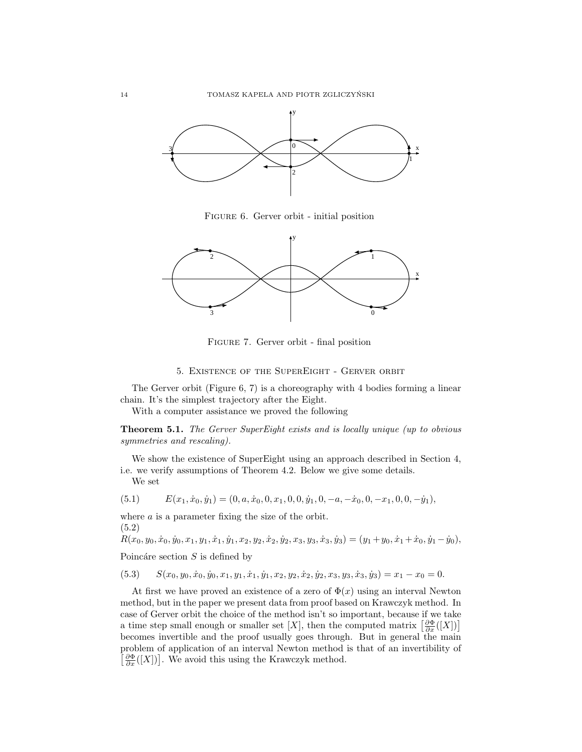

Figure 6. Gerver orbit - initial position



Figure 7. Gerver orbit - final position

# 5. Existence of the SuperEight - Gerver orbit

The Gerver orbit (Figure 6, 7) is a choreography with 4 bodies forming a linear chain. It's the simplest trajectory after the Eight.

With a computer assistance we proved the following

Theorem 5.1. The Gerver SuperEight exists and is locally unique (up to obvious symmetries and rescaling).

We show the existence of SuperEight using an approach described in Section 4, i.e. we verify assumptions of Theorem 4.2. Below we give some details. We set

$$
(5.1) \qquad E(x_1, \dot{x}_0, \dot{y}_1) = (0, a, \dot{x}_0, 0, x_1, 0, 0, \dot{y}_1, 0, -a, -\dot{x}_0, 0, -x_1, 0, 0, -\dot{y}_1),
$$

where a is a parameter fixing the size of the orbit. (5.2)

 $R(x_0, y_0, \dot{x}_0, \dot{y}_0, x_1, y_1, \dot{x}_1, \dot{y}_1, x_2, y_2, \dot{x}_2, \dot{y}_2, x_3, y_3, \dot{x}_3, \dot{y}_3) = (y_1 + y_0, \dot{x}_1 + \dot{x}_0, \dot{y}_1 - \dot{y}_0),$ 

Poincáre section  $S$  is defined by

$$
(5.3) \qquad S(x_0, y_0, \dot{x}_0, \dot{y}_0, x_1, y_1, \dot{x}_1, \dot{y}_1, x_2, y_2, \dot{x}_2, \dot{y}_2, x_3, y_3, \dot{x}_3, \dot{y}_3) = x_1 - x_0 = 0.
$$

At first we have proved an existence of a zero of  $\Phi(x)$  using an interval Newton method, but in the paper we present data from proof based on Krawczyk method. In case of Gerver orbit the choice of the method isn't so important, because if we take case of Gerver orbit the choice of the method isn't so important, because if we take<br>a time step small enough or smaller set [X], then the computed matrix  $\left[\frac{\partial \Phi}{\partial x}([X])\right]$ becomes invertible and the proof usually goes through. But in general the main problem of application of an interval Newton method is that of an invertibility of £ roblem of application of an interval Newton method  $\frac{\partial \Phi}{\partial x}([X])$ . We avoid this using the Krawczyk method.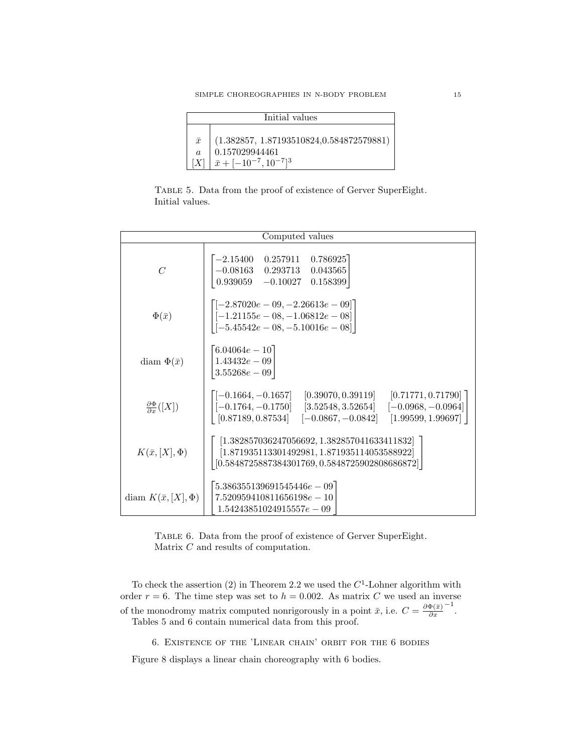| Initial values |                                                                        |  |
|----------------|------------------------------------------------------------------------|--|
|                |                                                                        |  |
|                | $\bar{x}$   (1.382857, 1.87193510824,0.584872579881)                   |  |
| $\alpha$       | $\pm 0.157029944461$                                                   |  |
|                | $[X]$ $\bar{x}$ + [-10 <sup>-7</sup> , 10 <sup>-7</sup> ] <sup>3</sup> |  |

Table 5. Data from the proof of existence of Gerver SuperEight. Initial values.

| Computed values                         |                                                                                                                                                                                                                                                           |  |
|-----------------------------------------|-----------------------------------------------------------------------------------------------------------------------------------------------------------------------------------------------------------------------------------------------------------|--|
| $\overline{C}$                          | 0.786925<br>0.257911<br>$-2.15400$<br>$-0.08163$ 0.293713<br>0.043565<br>$0.939059 - 0.10027$<br>0.158399                                                                                                                                                 |  |
| $\Phi(\bar{x})$                         | $\left[ [-2.87020e-09, -2.26613e-09]\right]$<br>$\begin{bmatrix} [-1.21155e-08,-1.06812e-08] \ [-5.45542e-08,-5.10016e-08] \end{bmatrix}$                                                                                                                 |  |
| diam $\Phi(\bar{x})$                    | $6.04064e - 10$<br>$1.43432e - 09$<br>$3.55268e - 09$                                                                                                                                                                                                     |  |
| $\frac{\partial \Phi}{\partial x}([X])$ | $[-0.1664, -0.1657]$ $[0.39070, 0.39119]$ $[0.71771, 0.71790]$<br>$\begin{bmatrix} -0.1764, -0.1750 \end{bmatrix}$ [3.52548, 3.52654] $\begin{bmatrix} -0.0968, -0.0964 \end{bmatrix}$<br>$[0.87189, 0.87534]$ $[-0.0867, -0.0842]$<br>[1.99599, 1.99697] |  |
| $K(\bar{x},[X],\Phi)$                   | $[1.382857036247056692, 1.382857041633411832]$<br>$[1.871935113301492981, 1.871935114053588922]$<br>$[0.5848725887384301769, 0.5848725902808686872]$                                                                                                      |  |
| diam $K(\bar{x}, [X], \Phi)$            | $5.386355139691545446e-09$<br>$7.520959410811656198e - 10$<br>$1.54243851024915557e - 09$                                                                                                                                                                 |  |

Table 6. Data from the proof of existence of Gerver SuperEight. Matrix  $C$  and results of computation.

To check the assertion (2) in Theorem 2.2 we used the  $C<sup>1</sup>$ -Lohner algorithm with order  $r = 6$ . The time step was set to  $h = 0.002$ . As matrix C we used an inverse of the monodromy matrix computed nonrigorously in a point  $\bar{x}$ , i.e.  $C = \frac{\partial \Phi(\bar{x})}{\partial x}$ ∂x −1 . Tables 5 and 6 contain numerical data from this proof.

6. Existence of the 'Linear chain' orbit for the 6 bodies

Figure 8 displays a linear chain choreography with 6 bodies.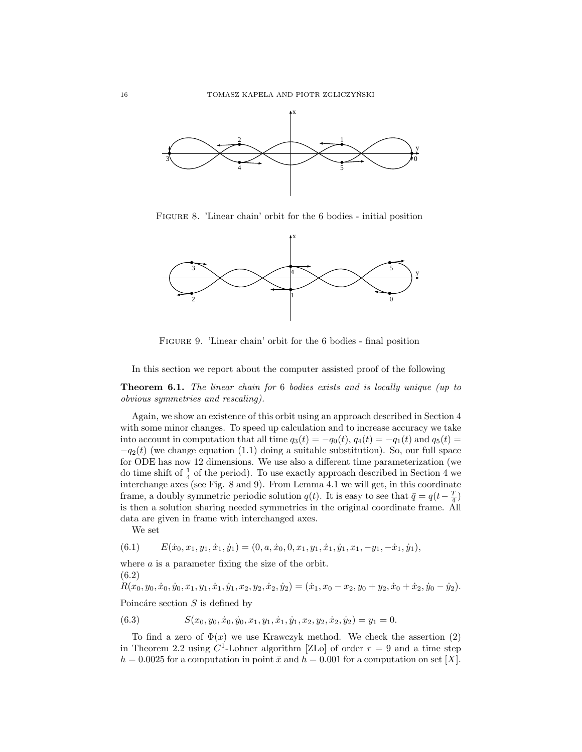

Figure 8. 'Linear chain' orbit for the 6 bodies - initial position



Figure 9. 'Linear chain' orbit for the 6 bodies - final position

In this section we report about the computer assisted proof of the following

Theorem 6.1. The linear chain for 6 bodies exists and is locally unique (up to obvious symmetries and rescaling).

Again, we show an existence of this orbit using an approach described in Section 4 with some minor changes. To speed up calculation and to increase accuracy we take into account in computation that all time  $q_3(t) = -q_0(t)$ ,  $q_4(t) = -q_1(t)$  and  $q_5(t) =$  $-q_2(t)$  (we change equation (1.1) doing a suitable substitution). So, our full space for ODE has now 12 dimensions. We use also a different time parameterization (we do time shift of  $\frac{1}{4}$  of the period). To use exactly approach described in Section 4 we interchange axes (see Fig. 8 and 9). From Lemma 4.1 we will get, in this coordinate frame, a doubly symmetric periodic solution  $q(t)$ . It is easy to see that  $\bar{q} = q(t - \frac{T}{4})$ is then a solution sharing needed symmetries in the original coordinate frame. All data are given in frame with interchanged axes.

We set

$$
(6.1) \qquad E(\dot{x}_0, x_1, y_1, \dot{x}_1, \dot{y}_1) = (0, a, \dot{x}_0, 0, x_1, y_1, \dot{x}_1, \dot{y}_1, x_1, -y_1, -\dot{x}_1, \dot{y}_1),
$$

where  $a$  is a parameter fixing the size of the orbit. (6.2)

 $R(x_0, y_0, \dot{x}_0, \dot{y}_0, x_1, y_1, \dot{x}_1, \dot{y}_1, x_2, y_2, \dot{x}_2, \dot{y}_2) = (\dot{x}_1, x_0 - x_2, y_0 + y_2, \dot{x}_0 + \dot{x}_2, \dot{y}_0 - \dot{y}_2).$ 

Poincáre section  $S$  is defined by

(6.3) 
$$
S(x_0, y_0, \dot{x}_0, \dot{y}_0, x_1, y_1, \dot{x}_1, \dot{y}_1, x_2, y_2, \dot{x}_2, \dot{y}_2) = y_1 = 0.
$$

To find a zero of  $\Phi(x)$  we use Krawczyk method. We check the assertion (2) in Theorem 2.2 using  $C^1$ -Lohner algorithm [ZLo] of order  $r = 9$  and a time step  $h = 0.0025$  for a computation in point  $\bar{x}$  and  $h = 0.001$  for a computation on set [X].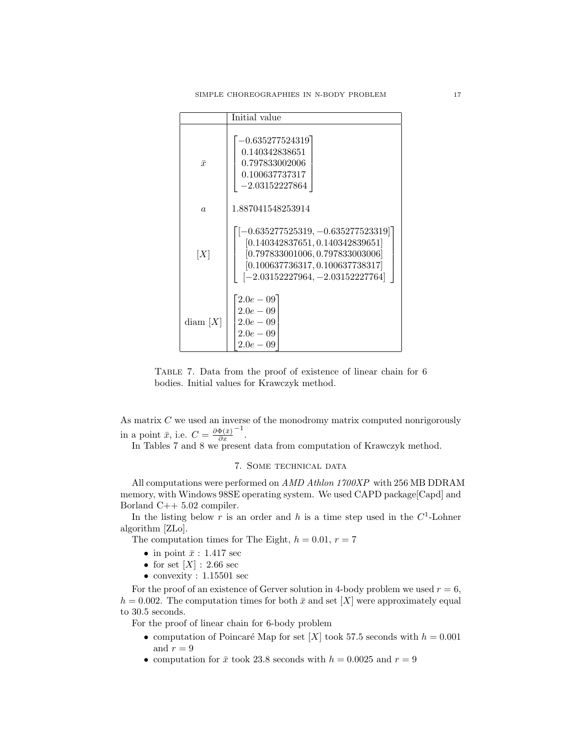|            | Initial value                                                                                                                                                                          |  |
|------------|----------------------------------------------------------------------------------------------------------------------------------------------------------------------------------------|--|
| $\bar{x}$  | $-0.635277524319$<br>0.140342838651<br>0.797833002006<br>0.100637737317<br>$-2.03152227864$                                                                                            |  |
| $\alpha$   | 1.887041548253914                                                                                                                                                                      |  |
| [X]        | $[-0.635277525319, -0.635277523319]$<br>[0.140342837651, 0.140342839651]<br>[0.797833001006, 0.797833003006]<br>[0.100637736317, 0.100637738317]<br>$[-2.03152227964, -2.03152227764]$ |  |
| diam $[X]$ | $2.0e - 0.9$<br>$2.0e-0.9$<br>$2.0e - 0.9$<br>$2.0e - 0.9$<br>$2.0e-0.9$                                                                                                               |  |

Table 7. Data from the proof of existence of linear chain for 6 bodies. Initial values for Krawczyk method.

As matrix  $C$  we used an inverse of the monodromy matrix computed nonrigorously in a point  $\bar{x}$ , i.e.  $C = \frac{\partial \Phi(\bar{x})}{\partial x}$ ∂x −1 .

In Tables 7 and 8 we present data from computation of Krawczyk method.

### 7. Some technical data

All computations were performed on AMD Athlon 1700XP with 256 MB DDRAM memory, with Windows 98SE operating system. We used CAPD package [Capd] and Borland C++ 5.02 compiler.

In the listing below r is an order and h is a time step used in the  $C^1$ -Lohner algorithm [ZLo].

The computation times for The Eight,  $h = 0.01$ ,  $r = 7$ 

- in point  $\bar{x}$  : 1.417 sec
- for set  $[X]$  : 2.66 sec
- convexity : 1.15501 sec

For the proof of an existence of Gerver solution in 4-body problem we used  $r = 6$ ,  $h = 0.002$ . The computation times for both  $\bar{x}$  and set [X] were approximately equal to 30.5 seconds.

For the proof of linear chain for 6-body problem

- computation of Poincaré Map for set [X] took 57.5 seconds with  $h = 0.001$ and  $r = 9$
- computation for  $\bar{x}$  took 23.8 seconds with  $h = 0.0025$  and  $r = 9$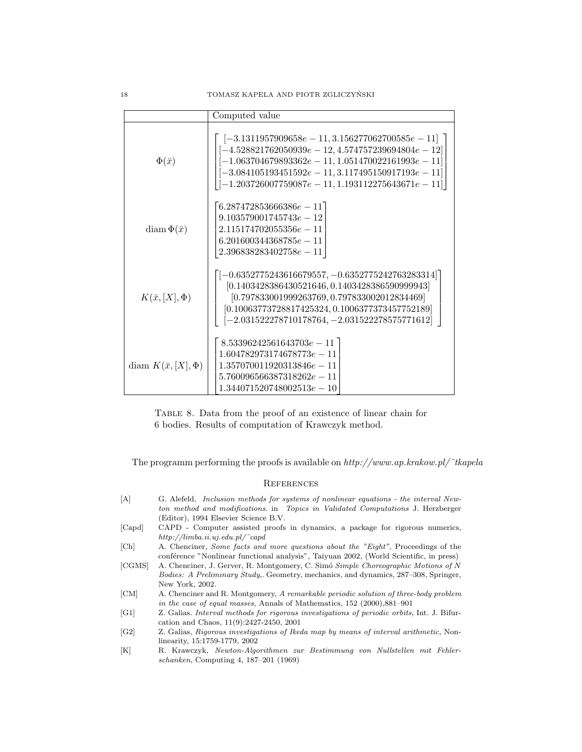|                              | Computed value                                                                                                                                                                                                                                                                      |
|------------------------------|-------------------------------------------------------------------------------------------------------------------------------------------------------------------------------------------------------------------------------------------------------------------------------------|
| $\Phi(\bar{x})$              | $[-3.1311957909658e - 11, 3.156277062700585e - 11]$<br>$[-4.528821762050939e - 12, 4.574757239694804e - 12]$<br>$-1.063704679893362e - 11, 1.051470022161993e - 11$<br>$[-3.084105193451592e - 11, 3.117495150917193e - 11]$<br>$-1.203726007759087e - 11, 1.193112275643671e - 11$ |
| diam $\Phi(\bar{x})$         | $(6.287472853666386e - 11)$<br>$9.103579001745743e - 12$<br>$2.115174702055356e - 11$<br>$6.201600344368785e - 11$<br>$2.396838283402758e - 11$                                                                                                                                     |
| $K(\bar{x},[X],\Phi)$        | $\left[ -0.6352775243616679557, -0.6352775242763283314 \right]$<br>$[0.1403428386430521646, 0.1403428386590999943]$<br>$[0.797833001999263769, 0.797833002012834469]$<br>$[0.10063773728817425324, 0.1006377373457752189]$<br>$-2.031522278710178764, -2.031522278575771612$        |
| diam $K(\bar{x}, [X], \Phi)$ | $8.53396242561643703e-11$<br>$1.604782973174678773e - 11$<br>$1.357070011920313846e - 11$<br>$5.760096566387318262e - 11$<br>$1.344071520748002513e - 10$                                                                                                                           |

Table 8. Data from the proof of an existence of linear chain for 6 bodies. Results of computation of Krawczyk method.

The programm performing the proofs is available on  $http://www.ap.krakov.pl/~tkapela$ 

### **REFERENCES**

- [A] G. Alefeld, Inclusion methods for systems of nonlinear equations the interval Newton method and modifications. in Topics in Validated Computations J. Herzberger (Editor), 1994 Elsevier Science B.V.
- [Capd] CAPD Computer assisted proofs in dynamics, a package for rigorous numerics, http://limba.ii.uj.edu.pl/˜capd
- [Ch] A. Chenciner, Some facts and more questions about the "Eight", Proceedings of the conférence "Nonlinear functional analysis", Taiyuan 2002, (World Scientific, in press)
- [CGMS] A. Chenciner, J. Gerver, R. Montgomery, C. Simó Simple Choreographic Motions of N Bodies: A Preliminary Study,. Geometry, mechanics, and dynamics, 287–308, Springer, New York, 2002.
- [CM] A. Chenciner and R. Montgomery, A remarkable periodic solution of three-body problem in the case of equal masses, Annals of Mathematics, 152 (2000),881–901
- [G1] Z. Galias. Interval methods for rigorous investigations of periodic orbits, Int. J. Bifurcation and Chaos, 11(9):2427-2450, 2001
- [G2] Z. Galias, Rigorous investigations of Ikeda map by means of interval arithmetic, Nonlinearity, 15:1759-1779, 2002
- [K] R. Krawczyk, Newton-Algorithmen zur Bestimmung von Nullstellen mit Fehlerschanken, Computing 4, 187–201 (1969)